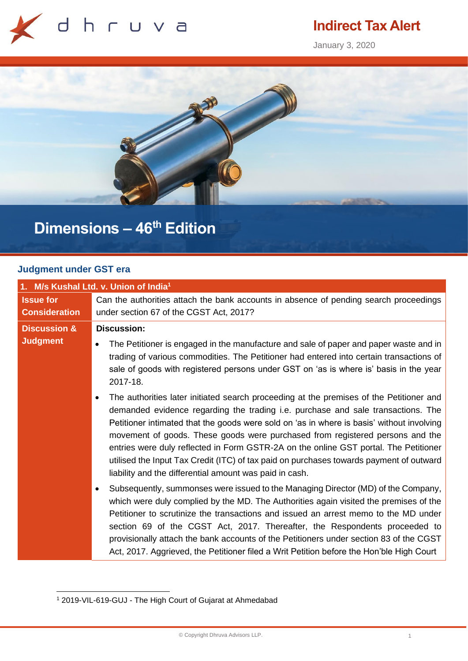

# **Indirect Tax Alert**

January 3, 2020



# **Dimensions – 46th Edition**

#### **Judgment under GST era**

| 1. M/s Kushal Ltd. v. Union of India <sup>1</sup> |                                                                                                                                                                                                                                                                                                                                                                                                                                                                                                                                                                                                         |
|---------------------------------------------------|---------------------------------------------------------------------------------------------------------------------------------------------------------------------------------------------------------------------------------------------------------------------------------------------------------------------------------------------------------------------------------------------------------------------------------------------------------------------------------------------------------------------------------------------------------------------------------------------------------|
| <b>Issue for</b>                                  | Can the authorities attach the bank accounts in absence of pending search proceedings                                                                                                                                                                                                                                                                                                                                                                                                                                                                                                                   |
| <b>Consideration</b>                              | under section 67 of the CGST Act, 2017?                                                                                                                                                                                                                                                                                                                                                                                                                                                                                                                                                                 |
| <b>Discussion &amp;</b>                           | <b>Discussion:</b>                                                                                                                                                                                                                                                                                                                                                                                                                                                                                                                                                                                      |
| <b>Judgment</b>                                   | The Petitioner is engaged in the manufacture and sale of paper and paper waste and in<br>$\bullet$<br>trading of various commodities. The Petitioner had entered into certain transactions of<br>sale of goods with registered persons under GST on 'as is where is' basis in the year<br>2017-18.                                                                                                                                                                                                                                                                                                      |
|                                                   | The authorities later initiated search proceeding at the premises of the Petitioner and<br>demanded evidence regarding the trading i.e. purchase and sale transactions. The<br>Petitioner intimated that the goods were sold on 'as in where is basis' without involving<br>movement of goods. These goods were purchased from registered persons and the<br>entries were duly reflected in Form GSTR-2A on the online GST portal. The Petitioner<br>utilised the Input Tax Credit (ITC) of tax paid on purchases towards payment of outward<br>liability and the differential amount was paid in cash. |
|                                                   | Subsequently, summonses were issued to the Managing Director (MD) of the Company,<br>which were duly complied by the MD. The Authorities again visited the premises of the<br>Petitioner to scrutinize the transactions and issued an arrest memo to the MD under<br>section 69 of the CGST Act, 2017. Thereafter, the Respondents proceeded to<br>provisionally attach the bank accounts of the Petitioners under section 83 of the CGST<br>Act, 2017. Aggrieved, the Petitioner filed a Writ Petition before the Hon'ble High Court                                                                   |

<sup>1</sup> 2019-VIL-619-GUJ - The High Court of Gujarat at Ahmedabad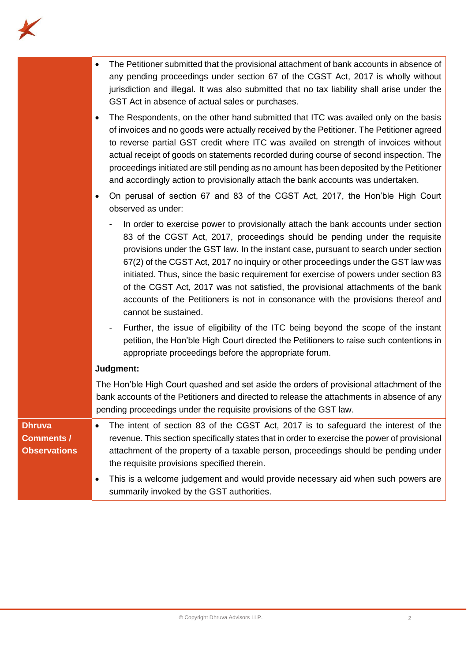

|                                                           | The Petitioner submitted that the provisional attachment of bank accounts in absence of<br>any pending proceedings under section 67 of the CGST Act, 2017 is wholly without<br>jurisdiction and illegal. It was also submitted that no tax liability shall arise under the<br>GST Act in absence of actual sales or purchases.<br>The Respondents, on the other hand submitted that ITC was availed only on the basis<br>of invoices and no goods were actually received by the Petitioner. The Petitioner agreed<br>to reverse partial GST credit where ITC was availed on strength of invoices without<br>actual receipt of goods on statements recorded during course of second inspection. The<br>proceedings initiated are still pending as no amount has been deposited by the Petitioner<br>and accordingly action to provisionally attach the bank accounts was undertaken.<br>On perusal of section 67 and 83 of the CGST Act, 2017, the Hon'ble High Court<br>observed as under: |
|-----------------------------------------------------------|--------------------------------------------------------------------------------------------------------------------------------------------------------------------------------------------------------------------------------------------------------------------------------------------------------------------------------------------------------------------------------------------------------------------------------------------------------------------------------------------------------------------------------------------------------------------------------------------------------------------------------------------------------------------------------------------------------------------------------------------------------------------------------------------------------------------------------------------------------------------------------------------------------------------------------------------------------------------------------------------|
|                                                           | In order to exercise power to provisionally attach the bank accounts under section<br>83 of the CGST Act, 2017, proceedings should be pending under the requisite<br>provisions under the GST law. In the instant case, pursuant to search under section<br>67(2) of the CGST Act, 2017 no inquiry or other proceedings under the GST law was<br>initiated. Thus, since the basic requirement for exercise of powers under section 83<br>of the CGST Act, 2017 was not satisfied, the provisional attachments of the bank<br>accounts of the Petitioners is not in consonance with the provisions thereof and<br>cannot be sustained.                                                                                                                                                                                                                                                                                                                                                      |
|                                                           | Further, the issue of eligibility of the ITC being beyond the scope of the instant<br>petition, the Hon'ble High Court directed the Petitioners to raise such contentions in<br>appropriate proceedings before the appropriate forum.                                                                                                                                                                                                                                                                                                                                                                                                                                                                                                                                                                                                                                                                                                                                                      |
|                                                           | Judgment:                                                                                                                                                                                                                                                                                                                                                                                                                                                                                                                                                                                                                                                                                                                                                                                                                                                                                                                                                                                  |
|                                                           | The Hon'ble High Court quashed and set aside the orders of provisional attachment of the<br>bank accounts of the Petitioners and directed to release the attachments in absence of any<br>pending proceedings under the requisite provisions of the GST law.                                                                                                                                                                                                                                                                                                                                                                                                                                                                                                                                                                                                                                                                                                                               |
| <b>Dhruva</b><br><b>Comments /</b><br><b>Observations</b> | The intent of section 83 of the CGST Act, 2017 is to safeguard the interest of the<br>revenue. This section specifically states that in order to exercise the power of provisional<br>attachment of the property of a taxable person, proceedings should be pending under<br>the requisite provisions specified therein.                                                                                                                                                                                                                                                                                                                                                                                                                                                                                                                                                                                                                                                                   |
|                                                           | This is a welcome judgement and would provide necessary aid when such powers are<br>summarily invoked by the GST authorities.                                                                                                                                                                                                                                                                                                                                                                                                                                                                                                                                                                                                                                                                                                                                                                                                                                                              |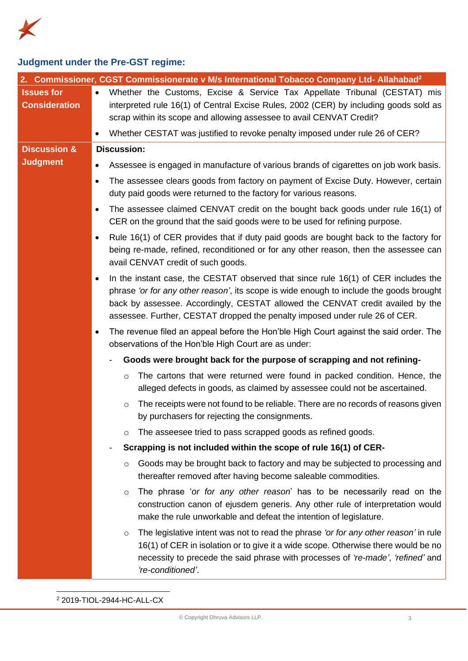

## **Judgment under the Pre-GST regime:**

|                                           | 2. Commissioner, CGST Commissionerate v M/s International Tobacco Company Ltd- Allahabad <sup>2</sup>                                                                                                                                                                                                                                                |
|-------------------------------------------|------------------------------------------------------------------------------------------------------------------------------------------------------------------------------------------------------------------------------------------------------------------------------------------------------------------------------------------------------|
| <b>Issues for</b><br><b>Consideration</b> | Whether the Customs, Excise & Service Tax Appellate Tribunal (CESTAT) mis<br>$\bullet$<br>interpreted rule 16(1) of Central Excise Rules, 2002 (CER) by including goods sold as<br>scrap within its scope and allowing assessee to avail CENVAT Credit?<br>Whether CESTAT was justified to revoke penalty imposed under rule 26 of CER?<br>$\bullet$ |
| <b>Discussion &amp;</b>                   | <b>Discussion:</b>                                                                                                                                                                                                                                                                                                                                   |
| <b>Judgment</b>                           | Assessee is engaged in manufacture of various brands of cigarettes on job work basis.                                                                                                                                                                                                                                                                |
|                                           | The assessee clears goods from factory on payment of Excise Duty. However, certain<br>$\bullet$<br>duty paid goods were returned to the factory for various reasons.                                                                                                                                                                                 |
|                                           | The assessee claimed CENVAT credit on the bought back goods under rule 16(1) of<br>$\bullet$<br>CER on the ground that the said goods were to be used for refining purpose.                                                                                                                                                                          |
|                                           | Rule 16(1) of CER provides that if duty paid goods are bought back to the factory for<br>$\bullet$<br>being re-made, refined, reconditioned or for any other reason, then the assessee can<br>avail CENVAT credit of such goods.                                                                                                                     |
|                                           | In the instant case, the CESTAT observed that since rule 16(1) of CER includes the<br>phrase 'or for any other reason', its scope is wide enough to include the goods brought<br>back by assessee. Accordingly, CESTAT allowed the CENVAT credit availed by the<br>assessee. Further, CESTAT dropped the penalty imposed under rule 26 of CER.       |
|                                           | The revenue filed an appeal before the Hon'ble High Court against the said order. The<br>$\bullet$<br>observations of the Hon'ble High Court are as under:                                                                                                                                                                                           |
|                                           | Goods were brought back for the purpose of scrapping and not refining-                                                                                                                                                                                                                                                                               |
|                                           | The cartons that were returned were found in packed condition. Hence, the<br>$\circ$<br>alleged defects in goods, as claimed by assessee could not be ascertained.                                                                                                                                                                                   |
|                                           | The receipts were not found to be reliable. There are no records of reasons given<br>$\circ$<br>by purchasers for rejecting the consignments.                                                                                                                                                                                                        |
|                                           | The asseesee tried to pass scrapped goods as refined goods.<br>O                                                                                                                                                                                                                                                                                     |
|                                           | Scrapping is not included within the scope of rule 16(1) of CER-<br>$\qquad \qquad \blacksquare$                                                                                                                                                                                                                                                     |
|                                           | Goods may be brought back to factory and may be subjected to processing and<br>$\circ$<br>thereafter removed after having become saleable commodities.                                                                                                                                                                                               |
|                                           | The phrase 'or for any other reason' has to be necessarily read on the<br>$\circ$<br>construction canon of ejusdem generis. Any other rule of interpretation would<br>make the rule unworkable and defeat the intention of legislature.                                                                                                              |
|                                           | The legislative intent was not to read the phrase 'or for any other reason' in rule<br>$\circ$<br>16(1) of CER in isolation or to give it a wide scope. Otherwise there would be no<br>necessity to precede the said phrase with processes of 're-made', 'refined' and<br>'re-conditioned'.                                                          |

<sup>2</sup> 2019-TIOL-2944-HC-ALL-CX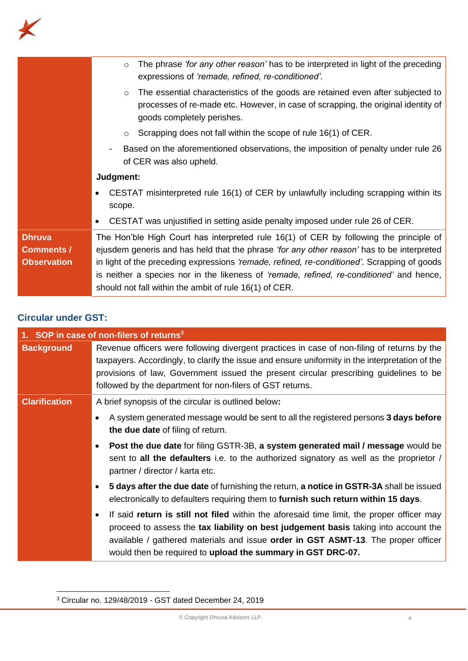

### **Circular under GST:**

| 1. SOP in case of non-filers of returns <sup>3</sup> |                                                                                                                                                                                                                                                                                                                                                       |
|------------------------------------------------------|-------------------------------------------------------------------------------------------------------------------------------------------------------------------------------------------------------------------------------------------------------------------------------------------------------------------------------------------------------|
| <b>Background</b>                                    | Revenue officers were following divergent practices in case of non-filing of returns by the<br>taxpayers. Accordingly, to clarify the issue and ensure uniformity in the interpretation of the<br>provisions of law, Government issued the present circular prescribing guidelines to be<br>followed by the department for non-filers of GST returns. |
| <b>Clarification</b>                                 | A brief synopsis of the circular is outlined below:                                                                                                                                                                                                                                                                                                   |
|                                                      | A system generated message would be sent to all the registered persons 3 days before<br>the due date of filing of return.                                                                                                                                                                                                                             |
|                                                      | <b>Post the due date for filing GSTR-3B, a system generated mail / message would be</b><br>sent to all the defaulters i.e. to the authorized signatory as well as the proprietor /<br>partner / director / karta etc.                                                                                                                                 |
|                                                      | 5 days after the due date of furnishing the return, a notice in GSTR-3A shall be issued<br>$\bullet$<br>electronically to defaulters requiring them to furnish such return within 15 days.                                                                                                                                                            |
|                                                      | If said return is still not filed within the aforesaid time limit, the proper officer may<br>proceed to assess the tax liability on best judgement basis taking into account the<br>available / gathered materials and issue <b>order in GST ASMT-13</b> . The proper officer<br>would then be required to upload the summary in GST DRC-07.          |

<sup>3</sup> Circular no. 129/48/2019 - GST dated December 24, 2019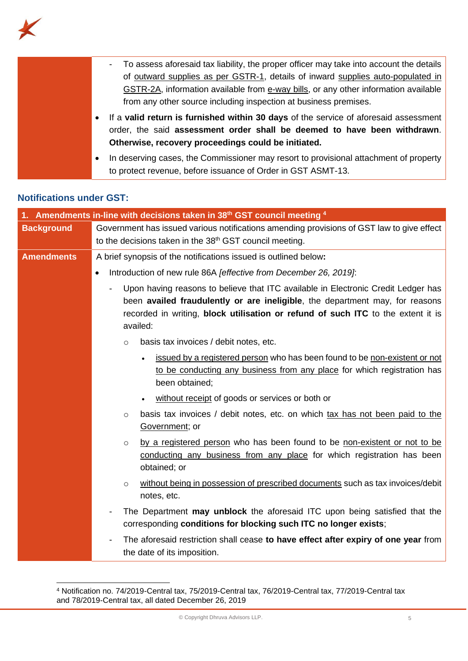

| To assess aforesaid tax liability, the proper officer may take into account the details<br>$\sim$                                                                             |
|-------------------------------------------------------------------------------------------------------------------------------------------------------------------------------|
| of <u>outward supplies as per GSTR-1</u> , details of inward supplies auto-populated in                                                                                       |
| GSTR-2A, information available from e-way bills, or any other information available                                                                                           |
| from any other source including inspection at business premises.                                                                                                              |
| If a valid return is furnished within 30 days of the service of aforesaid assessment<br>$\bullet$<br>order, the said assessment order shall be deemed to have been withdrawn. |
| Otherwise, recovery proceedings could be initiated.                                                                                                                           |
| In deserving cases, the Commissioner may resort to provisional attachment of property<br>$\bullet$                                                                            |
| to protect revenue, before issuance of Order in GST ASMT-13.                                                                                                                  |

### **Notifications under GST:**

| Amendments in-line with decisions taken in 38 <sup>th</sup> GST council meeting $4$ |                                                                                                                                                                                                                                                                   |
|-------------------------------------------------------------------------------------|-------------------------------------------------------------------------------------------------------------------------------------------------------------------------------------------------------------------------------------------------------------------|
| <b>Background</b>                                                                   | Government has issued various notifications amending provisions of GST law to give effect                                                                                                                                                                         |
|                                                                                     | to the decisions taken in the 38 <sup>th</sup> GST council meeting.                                                                                                                                                                                               |
| <b>Amendments</b>                                                                   | A brief synopsis of the notifications issued is outlined below:                                                                                                                                                                                                   |
|                                                                                     | Introduction of new rule 86A [effective from December 26, 2019]:<br>$\bullet$                                                                                                                                                                                     |
|                                                                                     | Upon having reasons to believe that ITC available in Electronic Credit Ledger has<br>been availed fraudulently or are ineligible, the department may, for reasons<br>recorded in writing, block utilisation or refund of such ITC to the extent it is<br>availed: |
|                                                                                     | basis tax invoices / debit notes, etc.<br>$\circ$                                                                                                                                                                                                                 |
|                                                                                     | issued by a registered person who has been found to be non-existent or not<br>to be conducting any business from any place for which registration has<br>been obtained;                                                                                           |
|                                                                                     | without receipt of goods or services or both or                                                                                                                                                                                                                   |
|                                                                                     | basis tax invoices / debit notes, etc. on which tax has not been paid to the<br>$\circ$<br>Government; or                                                                                                                                                         |
|                                                                                     | by a registered person who has been found to be non-existent or not to be<br>$\circ$<br>conducting any business from any place for which registration has been<br>obtained; or                                                                                    |
|                                                                                     | without being in possession of prescribed documents such as tax invoices/debit<br>$\circ$<br>notes, etc.                                                                                                                                                          |
|                                                                                     | The Department may unblock the aforesaid ITC upon being satisfied that the<br>corresponding conditions for blocking such ITC no longer exists;                                                                                                                    |
|                                                                                     | The aforesaid restriction shall cease to have effect after expiry of one year from<br>the date of its imposition.                                                                                                                                                 |

<sup>4</sup> Notification no. 74/2019-Central tax, 75/2019-Central tax, 76/2019-Central tax, 77/2019-Central tax and 78/2019-Central tax, all dated December 26, 2019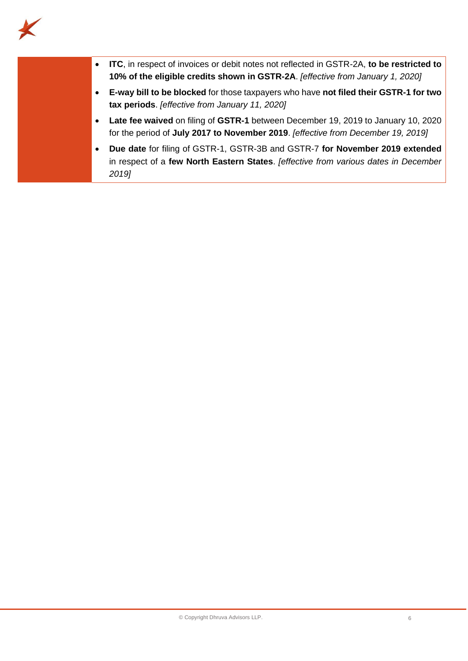

| <b>ITC</b> , in respect of invoices or debit notes not reflected in GSTR-2A, to be restricted to<br>10% of the eligible credits shown in GSTR-2A. [effective from January 1, 2020] |
|------------------------------------------------------------------------------------------------------------------------------------------------------------------------------------|
| E-way bill to be blocked for those taxpayers who have not filed their GSTR-1 for two<br>tax periods. [effective from January 11, 2020]                                             |
| Late fee waived on filing of GSTR-1 between December 19, 2019 to January 10, 2020<br>for the period of July 2017 to November 2019. [effective from December 19, 2019]              |
| Due date for filing of GSTR-1, GSTR-3B and GSTR-7 for November 2019 extended<br>in respect of a few North Eastern States. Jeffective from various dates in December<br>2019]       |